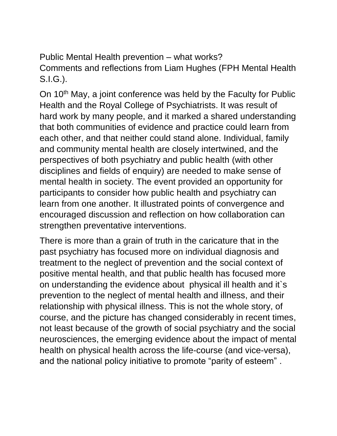Public Mental Health prevention – what works? Comments and reflections from Liam Hughes (FPH Mental Health S.I.G.).

On 10<sup>th</sup> May, a joint conference was held by the Faculty for Public Health and the Royal College of Psychiatrists. It was result of hard work by many people, and it marked a shared understanding that both communities of evidence and practice could learn from each other, and that neither could stand alone. Individual, family and community mental health are closely intertwined, and the perspectives of both psychiatry and public health (with other disciplines and fields of enquiry) are needed to make sense of mental health in society. The event provided an opportunity for participants to consider how public health and psychiatry can learn from one another. It illustrated points of convergence and encouraged discussion and reflection on how collaboration can strengthen preventative interventions.

There is more than a grain of truth in the caricature that in the past psychiatry has focused more on individual diagnosis and treatment to the neglect of prevention and the social context of positive mental health, and that public health has focused more on understanding the evidence about physical ill health and it`s prevention to the neglect of mental health and illness, and their relationship with physical illness. This is not the whole story, of course, and the picture has changed considerably in recent times, not least because of the growth of social psychiatry and the social neurosciences, the emerging evidence about the impact of mental health on physical health across the life-course (and vice-versa), and the national policy initiative to promote "parity of esteem" .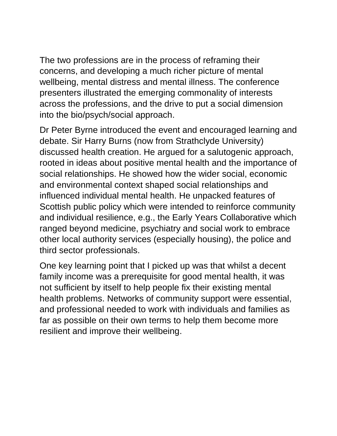The two professions are in the process of reframing their concerns, and developing a much richer picture of mental wellbeing, mental distress and mental illness. The conference presenters illustrated the emerging commonality of interests across the professions, and the drive to put a social dimension into the bio/psych/social approach.

Dr Peter Byrne introduced the event and encouraged learning and debate. Sir Harry Burns (now from Strathclyde University) discussed health creation. He argued for a salutogenic approach, rooted in ideas about positive mental health and the importance of social relationships. He showed how the wider social, economic and environmental context shaped social relationships and influenced individual mental health. He unpacked features of Scottish public policy which were intended to reinforce community and individual resilience, e.g., the Early Years Collaborative which ranged beyond medicine, psychiatry and social work to embrace other local authority services (especially housing), the police and third sector professionals.

One key learning point that I picked up was that whilst a decent family income was a prerequisite for good mental health, it was not sufficient by itself to help people fix their existing mental health problems. Networks of community support were essential, and professional needed to work with individuals and families as far as possible on their own terms to help them become more resilient and improve their wellbeing.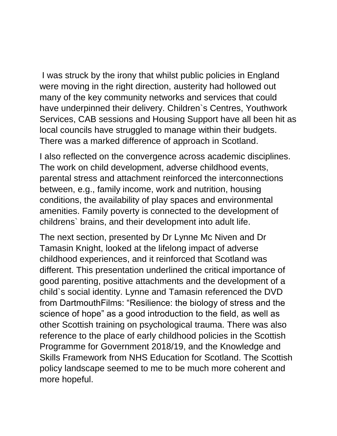I was struck by the irony that whilst public policies in England were moving in the right direction, austerity had hollowed out many of the key community networks and services that could have underpinned their delivery. Children`s Centres, Youthwork Services, CAB sessions and Housing Support have all been hit as local councils have struggled to manage within their budgets. There was a marked difference of approach in Scotland.

I also reflected on the convergence across academic disciplines. The work on child development, adverse childhood events, parental stress and attachment reinforced the interconnections between, e.g., family income, work and nutrition, housing conditions, the availability of play spaces and environmental amenities. Family poverty is connected to the development of childrens` brains, and their development into adult life.

The next section, presented by Dr Lynne Mc Niven and Dr Tamasin Knight, looked at the lifelong impact of adverse childhood experiences, and it reinforced that Scotland was different. This presentation underlined the critical importance of good parenting, positive attachments and the development of a child`s social identity. Lynne and Tamasin referenced the DVD from DartmouthFilms: "Resilience: the biology of stress and the science of hope" as a good introduction to the field, as well as other Scottish training on psychological trauma. There was also reference to the place of early childhood policies in the Scottish Programme for Government 2018/19, and the Knowledge and Skills Framework from NHS Education for Scotland. The Scottish policy landscape seemed to me to be much more coherent and more hopeful.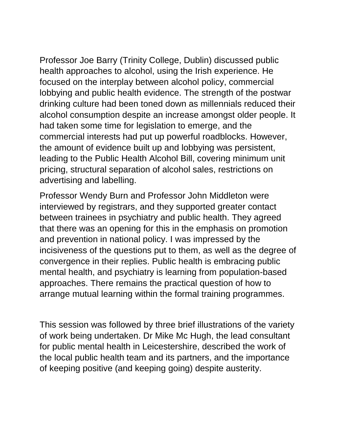Professor Joe Barry (Trinity College, Dublin) discussed public health approaches to alcohol, using the Irish experience. He focused on the interplay between alcohol policy, commercial lobbying and public health evidence. The strength of the postwar drinking culture had been toned down as millennials reduced their alcohol consumption despite an increase amongst older people. It had taken some time for legislation to emerge, and the commercial interests had put up powerful roadblocks. However, the amount of evidence built up and lobbying was persistent, leading to the Public Health Alcohol Bill, covering minimum unit pricing, structural separation of alcohol sales, restrictions on advertising and labelling.

Professor Wendy Burn and Professor John Middleton were interviewed by registrars, and they supported greater contact between trainees in psychiatry and public health. They agreed that there was an opening for this in the emphasis on promotion and prevention in national policy. I was impressed by the incisiveness of the questions put to them, as well as the degree of convergence in their replies. Public health is embracing public mental health, and psychiatry is learning from population-based approaches. There remains the practical question of how to arrange mutual learning within the formal training programmes.

This session was followed by three brief illustrations of the variety of work being undertaken. Dr Mike Mc Hugh, the lead consultant for public mental health in Leicestershire, described the work of the local public health team and its partners, and the importance of keeping positive (and keeping going) despite austerity.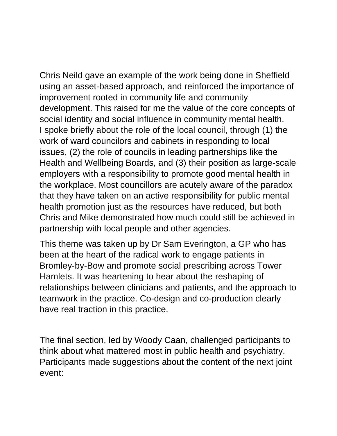Chris Neild gave an example of the work being done in Sheffield using an asset-based approach, and reinforced the importance of improvement rooted in community life and community development. This raised for me the value of the core concepts of social identity and social influence in community mental health. I spoke briefly about the role of the local council, through (1) the work of ward councilors and cabinets in responding to local issues, (2) the role of councils in leading partnerships like the Health and Wellbeing Boards, and (3) their position as large-scale employers with a responsibility to promote good mental health in the workplace. Most councillors are acutely aware of the paradox that they have taken on an active responsibility for public mental health promotion just as the resources have reduced, but both Chris and Mike demonstrated how much could still be achieved in partnership with local people and other agencies.

This theme was taken up by Dr Sam Everington, a GP who has been at the heart of the radical work to engage patients in Bromley-by-Bow and promote social prescribing across Tower Hamlets. It was heartening to hear about the reshaping of relationships between clinicians and patients, and the approach to teamwork in the practice. Co-design and co-production clearly have real traction in this practice.

The final section, led by Woody Caan, challenged participants to think about what mattered most in public health and psychiatry. Participants made suggestions about the content of the next joint event: